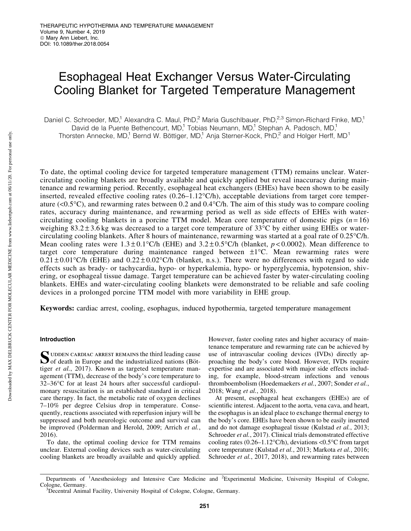# Esophageal Heat Exchanger Versus Water-Circulating Cooling Blanket for Targeted Temperature Management

Daniel C. Schroeder, MD,<sup>1</sup> Alexandra C. Maul, PhD,<sup>2</sup> Maria Guschlbauer, PhD,<sup>2,3</sup> Simon-Richard Finke, MD,<sup>1</sup> David de la Puente Bethencourt, MD,<sup>1</sup> Tobias Neumann, MD,<sup>1</sup> Stephan A. Padosch, MD,<sup>1</sup> Thorsten Annecke, MD,<sup>1</sup> Bernd W. Böttiger, MD,<sup>1</sup> Anja Sterner-Kock, PhD,<sup>2</sup> and Holger Herff, MD<sup>1</sup>

To date, the optimal cooling device for targeted temperature management (TTM) remains unclear. Watercirculating cooling blankets are broadly available and quickly applied but reveal inaccuracy during maintenance and rewarming period. Recently, esophageal heat exchangers (EHEs) have been shown to be easily inserted, revealed effective cooling rates  $(0.26-1.12^{\circ}C/h)$ , acceptable deviations from target core temperature (<0.5 $^{\circ}$ C), and rewarming rates between 0.2 and 0.4 $^{\circ}$ C/h. The aim of this study was to compare cooling rates, accuracy during maintenance, and rewarming period as well as side effects of EHEs with watercirculating cooling blankets in a porcine TTM model. Mean core temperature of domestic pigs  $(n=16)$ weighing  $83.2 \pm 3.6$  kg was decreased to a target core temperature of 33 $\degree$ C by either using EHEs or watercirculating cooling blankets. After 8 hours of maintenance, rewarming was started at a goal rate of 0.25°C/h. Mean cooling rates were  $1.3 \pm 0.1^{\circ}$ C/h (EHE) and  $3.2 \pm 0.5^{\circ}$ C/h (blanket,  $p < 0.0002$ ). Mean difference to target core temperature during maintenance ranged between  $\pm 1^{\circ}C$ . Mean rewarming rates were  $0.21 \pm 0.01$  °C/h (EHE) and  $0.22 \pm 0.02$  °C/h (blanket, n.s.). There were no differences with regard to side effects such as brady- or tachycardia, hypo- or hyperkalemia, hypo- or hyperglycemia, hypotension, shivering, or esophageal tissue damage. Target temperature can be achieved faster by water-circulating cooling blankets. EHEs and water-circulating cooling blankets were demonstrated to be reliable and safe cooling devices in a prolonged porcine TTM model with more variability in EHE group.

Keywords: cardiac arrest, cooling, esophagus, induced hypothermia, targeted temperature management

# Introduction

SUDDEN CARDIAC ARREST REMAINS the third leading cause<br>of death in Europe and the industrialized nations (Böttiger et al., 2017). Known as targeted temperature management (TTM), decrease of the body's core temperature to 32-36°C for at least 24 hours after successful cardiopulmonary resuscitation is an established standard in critical care therapy. In fact, the metabolic rate of oxygen declines 7–10% per degree Celsius drop in temperature. Consequently, reactions associated with reperfusion injury will be suppressed and both neurologic outcome and survival can be improved (Polderman and Herold, 2009; Arrich *et al.*, 2016).

To date, the optimal cooling device for TTM remains unclear. External cooling devices such as water-circulating cooling blankets are broadly available and quickly applied.

However, faster cooling rates and higher accuracy of maintenance temperature and rewarming rate can be achieved by use of intravascular cooling devices (IVDs) directly approaching the body's core blood. However, IVDs require expertise and are associated with major side effects including, for example, blood-stream infections and venous thromboembolism (Hoedemaekers *et al.*, 2007; Sonder *et al.*, 2018; Wang *et al.*, 2018).

At present, esophageal heat exchangers (EHEs) are of scientific interest. Adjacent to the aorta, vena cava, and heart, the esophagus is an ideal place to exchange thermal energy to the body's core. EHEs have been shown to be easily inserted and do not damage esophageal tissue (Kulstad *et al.*, 2013; Schroeder *et al.*, 2017). Clinical trials demonstrated effective cooling rates  $(0.26-1.12^{\circ}\text{C/h})$ , deviations <0.5 $^{\circ}\text{C}$  from target core temperature (Kulstad *et al.*, 2013; Markota *et al.*, 2016; Schroeder *et al.*, 2017, 2018), and rewarming rates between

Departments of <sup>1</sup>Anesthesiology and Intensive Care Medicine and <sup>2</sup>Experimental Medicine, University Hospital of Cologne, Cologne, Germany.

Decentral Animal Facility, University Hospital of Cologne, Cologne, Germany.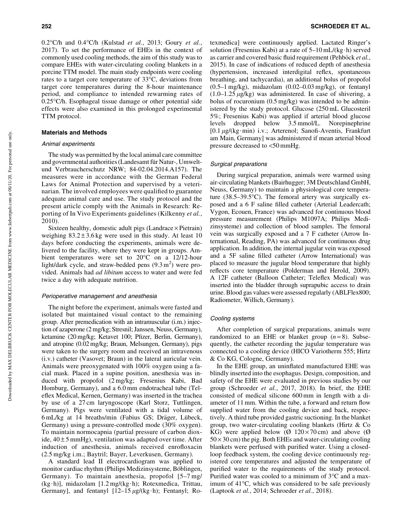0.2°C/h and 0.4°C/h (Kulstad *et al.*, 2013; Goury *et al.*, 2017). To set the performance of EHEs in the context of commonly used cooling methods, the aim of this study was to compare EHEs with water-circulating cooling blankets in a porcine TTM model. The main study endpoints were cooling rates to a target core temperature of 33°C, deviations from target core temperatures during the 8-hour maintenance period, and compliance to intended rewarming rates of 0.25°C/h. Esophageal tissue damage or other potential side effects were also examined in this prolonged experimental TTM protocol.

## Materials and Methods

## Animal experiments

The study was permitted by the local animal care committee and governmental authorities (Landesamt für Natur-, Umweltund Verbraucherschutz NRW; 84-02.04.2014.A157). The measures were in accordance with the German Federal Laws for Animal Protection and supervised by a veterinarian. The involved employees were qualified to guarantee adequate animal care and use. The study protocol and the present article comply with the Animals in Research: Reporting of In Vivo Experiments guidelines (Kilkenny *et al.*, 2010).

Sixteen healthy, domestic adult pigs (Landrace  $\times$  Pietrain) weighing  $83.2 \pm 3.6$  kg were used in this study. At least 10 days before conducting the experiments, animals were delivered to the facility, where they were kept in groups. Ambient temperatures were set to  $20^{\circ}$ C on a 12/12-hour light/dark cycle, and straw-bedded pens  $(9.3 \text{ m}^2)$  were provided. Animals had *ad libitum* access to water and were fed twice a day with adequate nutrition.

#### Perioperative management and anesthesia

The night before the experiment, animals were fasted and isolated but maintained visual contact to the remaining group. After premedication with an intramuscular (i.m.) injection of azaperone (2 mg/kg; Stresnil; Janssen, Neuss, Germany), ketamine (20 mg/kg; Ketavet 100; Pfizer, Berlin, Germany), and atropine (0.02 mg/kg; Braun, Melsungen, Germany), pigs were taken to the surgery room and received an intravenous (i.v.) catheter (Vasovet; Braun) in the lateral auricular vein. Animals were preoxygenated with 100% oxygen using a facial mask. Placed in a supine position, anesthesia was induced with propofol (2 mg/kg; Fresenius Kabi, Bad Homburg, Germany), and a 6.0 mm endotracheal tube (Teleflex Medical, Kernen, Germany) was inserted in the trachea by use of a 27 cm laryngoscope (Karl Storz, Tuttlingen, Germany). Pigs were ventilated with a tidal volume of 6 mL/kg at 14 breaths/min (Fabius GS; Dräger, Lübeck, Germany) using a pressure-controlled mode (30% oxygen). To maintain normocapnia (partial pressure of carbon dioxide,  $40 \pm 5$  mmHg), ventilation was adapted over time. After induction of anesthesia, animals received enrofloxacin (2.5 mg/kg i.m.; Baytril; Bayer, Leverkusen, Germany).

A standard lead II electrocardiogram was applied to monitor cardiac rhythm (Philips Medizinsysteme, Böblingen, Germany). To maintain anesthesia, propofol [5–7 mg/ (kg·h)], midazolam [1.2 mg/(kg·h); Rotexmedica, Trittau, Germany], and fentanyl  $[12-15 \mu g/(kg \cdot h)]$ ; Fentanyl; Rotexmedica] were continuously applied. Lactated Ringer's solution (Fresenius Kabi) at a rate of  $5-10$  mL/(kg $\cdot$ h) served as carrier and covered basic fluid requirement (Pehböck et al., 2015). In case of indications of reduced depth of anesthesia (hypertension, increased interdigital reflex, spontaneous breathing, and tachycardia), an additional bolus of propofol  $(0.5-1 \text{ mg/kg})$ , midazolam  $(0.02-0.03 \text{ mg/kg})$ , or fentanyl  $(1.0-1.25 \mu g/kg)$  was administered. In case of shivering, a bolus of rocuronium (0.5 mg/kg) was intended to be administered by the study protocol. Glucose (250 mL Glucosteril 5%; Fresenius Kabi) was applied if arterial blood glucose levels dropped below 3.5 mmol/L. Norepinephrine  $[0.1 \mu g/(kg \cdot min)$  i.v.; Arterenol; Sanofi-Aventis, Frankfurt am Main, Germany] was administered if mean arterial blood pressure decreased to <50 mmHg.

#### Surgical preparations

During surgical preparation, animals were warmed using air-circulating blankets (Bairhugger; 3M Deutschland GmbH, Neuss, Germany) to maintain a physiological core temperature (38.5–39.5°C). The femoral artery was surgically exposed and a 6 F saline filled catheter (Arterial Leadercath; Vygon, Ecouen, France) was advanced for continuous blood pressure measurement (Philips M1097A; Philips Medizinsysteme) and collection of blood samples. The femoral vein was surgically exposed and a 7 F catheter (Arrow International, Reading, PA) was advanced for continuous drug application. In addition, the internal jugular vein was exposed and a 5F saline filled catheter (Arrow International) was placed to measure the jugular blood temperature that highly reflects core temperature (Polderman and Herold, 2009). A 12F catheter (Balloon Catheter; Teleflex Medical) was inserted into the bladder through suprapubic access to drain urine. Blood gas values were assessed regularly (ABLFlex800; Radiometer, Willich, Germany).

#### Cooling systems

After completion of surgical preparations, animals were randomized to an EHE or blanket group  $(n=8)$ . Subsequently, the catheter recording the jugular temperature was connected to a cooling device (HICO Variotherm 555; Hirtz & Co KG, Cologne, Germany).

In the EHE group, an uninflated manufactured EHE was blindly inserted into the esophagus. Design, composition, and safety of the EHE were evaluated in previous studies by our group (Schroeder *et al.*, 2017, 2018). In brief, the EHE consisted of medical silicone 600 mm in length with a diameter of 11 mm. Within the tube, a forward and return flow supplied water from the cooling device and back, respectively. A third tube provided gastric suctioning. In the blanket group, two water-circulating cooling blankets (Hirtz & Co KG) were applied below ( $\varnothing$  120×70 cm) and above ( $\varnothing$  $50 \times 30$  cm) the pig. Both EHEs and water-circulating cooling blankets were perfused with purified water. Using a closedloop feedback system, the cooling device continuously registered core temperatures and adjusted the temperature of purified water to the requirements of the study protocol. Purified water was cooled to a minimum of  $3^{\circ}$ C and a maximum of 41°C, which was considered to be safe previously (Laptook *et al.*, 2014; Schroeder *et al.*, 2018).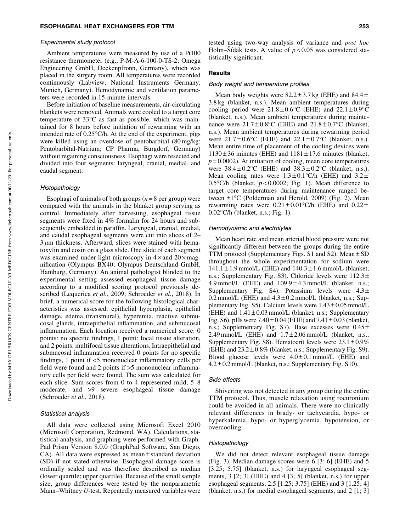#### Experimental study protocol

Ambient temperatures were measured by use of a Pt100 resistance thermometer (e.g., P-M-A-6-100-0-TS-2; Omega Engineering GmbH, Deckenpfronn, Germany), which was placed in the surgery room. All temperatures were recorded continuously (Labview; National Instruments Germany, Munich, Germany). Hemodynamic and ventilation parameters were recorded in 15-minute intervals.

Before initiation of baseline measurements, air-circulating blankets were removed. Animals were cooled to a target core temperature of 33°C as fast as possible, which was maintained for 8 hours before initiation of rewarming with an intended rate of 0.25°C/h. At the end of the experiment, pigs were killed using an overdose of pentobarbital (80 mg/kg; Pentobarbital-Natrium; CP Pharma, Burgdorf, Germany) without regaining consciousness. Esophagi were resected and divided into four segments: laryngeal, cranial, medial, and caudal segment.

### Histopathology

Esophagi of animals of both groups  $(n=8$  per group) were compared with the animals in the blanket group serving as control. Immediately after harvesting, esophageal tissue segments were fixed in 4% formalin for 24 hours and subsequently embedded in paraffin. Laryngeal, cranial, medial, and caudal esophageal segments were cut into slices of 2–  $3 \mu$ m thickness. Afterward, slices were stained with hematoxylin and eosin on a glass slide. One slide of each segment was examined under light microscopy in  $4 \times$  and  $20 \times$  magnification (Olympus BX40; Olympus Deutschland GmbH, Hamburg, Germany). An animal pathologist blinded to the experimental setting assessed esophageal tissue damage according to a modified scoring protocol previously described (Lequerica *et al.*, 2009; Schroeder *et al.*, 2018). In brief, a numerical score for the following histological characteristics was assessed: epithelial hyperplasia, epithelial damage, edema (transmural), hyperemia, reactive submucosal glands, intraepithelial inflammation, and submucosal inflammation. Each location received a numerical score: 0 points: no specific findings, 1 point: focal tissue alteration, and 2 points: multifocal tissue alterations. Intraepithelial and submucosal inflammation received 0 points for no specific findings, 1 point if <5 mononuclear inflammatory cells per field were found and 2 points if >5 mononuclear inflammatory cells per field were found. The sum was calculated for each slice. Sum scores from 0 to 4 represented mild, 5–8 moderate, and >9 severe esophageal tissue damage (Schroeder *et al.*, 2018).

#### Statistical analysis

All data were collected using Microsoft Excel 2010 (Microsoft Corporation, Redmond, WA). Calculations, statistical analysis, and graphing were performed with Graph-Pad Prism Version 8.0.0 (GraphPad Software, San Diego, CA). All data were expressed as mean  $\pm$  standard deviation (SD) if not stated otherwise. Esophageal damage score is ordinally scaled and was therefore described as median (lower quartile; upper quartile). Because of the small sample size, group differences were tested by the nonparametric Mann–Whitney *U*-test. Repeatedly measured variables were tested using two-way analysis of variance and *post hoc* Holm–Sídák tests. A value of  $p < 0.05$  was considered statistically significant.

# **Results**

### Body weight and temperature profiles

Mean body weights were  $82.2 \pm 3.7$  kg (EHE) and  $84.4 \pm$ 3.8 kg (blanket, n.s.). Mean ambient temperatures during cooling period were  $21.8 \pm 0.6^{\circ}$ C (EHE) and  $22.1 \pm 0.9^{\circ}$ C (blanket, n.s.). Mean ambient temperatures during maintenance were  $21.7 \pm 0.8$ °C (EHE) and  $21.8 \pm 0.7$ °C (blanket, n.s.). Mean ambient temperatures during rewarming period were  $21.7 \pm 0.6^{\circ}$ C (EHE) and  $22.1 \pm 0.7^{\circ}$ C (blanket, n.s.). Mean entire time of placement of the cooling devices were  $1130 \pm 36$  minutes (EHE) and  $1181 \pm 17.6$  minutes (blanket,  $p = 0.0002$ ). At initiation of cooling, mean core temperatures were  $38.4 \pm 0.2^{\circ}$ C (EHE) and  $38.3 \pm 0.2^{\circ}$ C (blanket, n.s.). Mean cooling rates were  $1.3 \pm 0.1$ °C/h (EHE) and  $3.2 \pm$ 0.5°C/h (blanket,  $p < 0.0002$ ; Fig. 1). Mean difference to target core temperatures during maintenance ranged between  $\pm 1^{\circ}$ C (Polderman and Herold, 2009) (Fig. 2). Mean rewarming rates were  $0.21 \pm 0.01$  °C/h (EHE) and  $0.22 \pm$ 0.02°C/h (blanket, n.s.; Fig. 1).

### Hemodynamic and electrolytes

Mean heart rate and mean arterial blood pressure were not significantly different between the groups during the entire TTM protocol (Supplementary Figs. S1 and S2). Mean  $\pm$  SD throughout the whole experimentation for sodium were  $141.1 \pm 1.9$  mmol/L (EHE) and  $140.3 \pm 1.6$  mmol/L (blanket, n.s.; Supplementary Fig. S3). Chloride levels were  $112.3 \pm$ 4.9 mmol/L (EHE) and  $109.9 \pm 4.3$  mmol/L (blanket, n.s.; Supplementary Fig. S4). Potassium levels were  $4.3 \pm$ 0.2 mmol/L (EHE) and  $4.3 \pm 0.2$  mmol/L (blanket, n.s.; Supplementary Fig. S5). Calcium levels were  $1.43 \pm 0.05$  mmol/L (EHE) and  $1.41 \pm 0.03$  mmol/L (blanket, n.s.; Supplementary Fig. S6). pHs were  $7.40 \pm 0.04$  (EHE) and  $7.41 \pm 0.03$  (blanket, n.s.; Supplementary Fig. S7). Base excesses were  $0.45 \pm$ 2.49 mmol/L (EHE) and  $1.7 \pm 2.06$  mmol/L (blanket, n.s.; Supplementary Fig. S8). Hematocrit levels were  $23.1 \pm 0.9\%$ (EHE) and  $23.2 \pm 0.8\%$  (blanket, n.s.; Supplementary Fig. S9). Blood glucose levels were  $4.0 \pm 0.1$  mmol/L (EHE) and  $4.2 \pm 0.2$  mmol/L (blanket, n.s.; Supplementary Fig. S10).

#### Side effects

Shivering was not detected in any group during the entire TTM protocol. Thus, muscle relaxation using rocuronium could be avoided in all animals. There were no clinically relevant differences in brady- or tachycardia, hypo- or hyperkalemia, hypo- or hyperglycemia, hypotension, or overcooling.

#### Histopathology

We did not detect relevant esophageal tissue damage (Fig. 3). Median damage scores were 6 [3; 6] (EHE) and 5 [3.25; 5.75] (blanket, n.s.) for laryngeal esophageal segments, 3 [2; 3] (EHE) and 4 [3; 5] (blanket, n.s.) for upper esophageal segments, 2.5 [1.25; 3.75] (EHE) and 3 [1.25; 4] (blanket, n.s.) for medial esophageal segments, and 2 [1; 3]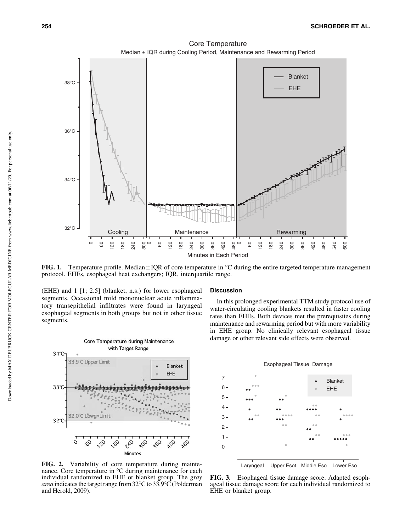

**FIG. 1.** Temperature profile. Median  $\pm$  IQR of core temperature in  $\degree$ C during the entire targeted temperature management protocol. EHEs, esophageal heat exchangers; IQR, interquartile range.

(EHE) and 1 [1; 2.5] (blanket, n.s.) for lower esophageal segments. Occasional mild mononuclear acute inflammatory transepithelial infiltrates were found in laryngeal esophageal segments in both groups but not in other tissue segments.



FIG. 2. Variability of core temperature during maintenance. Core temperature in  ${}^{\circ}$ C during maintenance for each individual randomized to EHE or blanket group. The *gray* area indicates the target range from 32°C to 33.9°C (Polderman and Herold, 2009).

#### **Discussion**

In this prolonged experimental TTM study protocol use of water-circulating cooling blankets resulted in faster cooling rates than EHEs. Both devices met the prerequisites during maintenance and rewarming period but with more variability in EHE group. No clinically relevant esophageal tissue damage or other relevant side effects were observed.



FIG. 3. Esophageal tissue damage score. Adapted esophageal tissue damage score for each individual randomized to EHE or blanket group.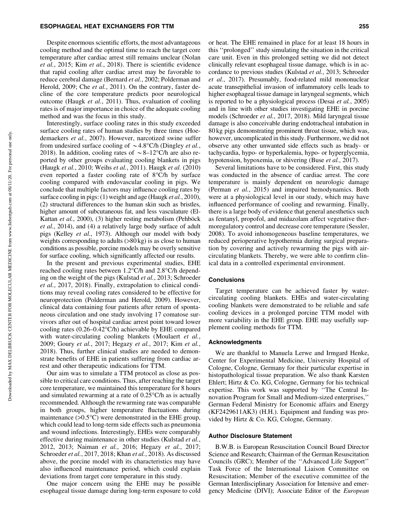Despite enormous scientific efforts, the most advantageous cooling method and the optimal time to reach the target core temperature after cardiac arrest still remains unclear (Nolan *et al.*, 2015; Kim *et al.*, 2018). There is scientific evidence that rapid cooling after cardiac arrest may be favorable to reduce cerebral damage (Bernard *et al.*, 2002; Polderman and Herold, 2009; Che *et al.*, 2011). On the contrary, faster decline of the core temperature predicts poor neurological outcome (Haugk *et al.*, 2011). Thus, evaluation of cooling rates is of major importance in choice of the adequate cooling method and was the focus in this study.

Interestingly, surface cooling rates in this study exceeded surface cooling rates of human studies by three times (Hoedemaekers *et al.*, 2007). However, narcotized swine suffer from undesired surface cooling of  $\sim$  4.8°C/h (Dingley *et al.*, 2018). In addition, cooling rates of  $\sim 8-12^{\circ}$ C/h are also reported by other groups evaluating cooling blankets in pigs (Haugk *et al.*, 2010; Weihs *et al.*, 2011). Haugk *et al.* (2010) even reported a faster cooling rate of  $8^{\circ}$ C/h by surface cooling compared with endovascular cooling in pigs. We conclude that multiple factors may influence cooling rates by surface cooling in pigs: (1) weight and age (Haugk *et al.*, 2010), (2) structural differences to the human skin such as bristles, higher amount of subcutaneous fat, and less vasculature (El-Kattan *et al.*, 2000), (3) higher resting metabolism (Pehböck *et al.*, 2014), and (4) a relatively large body surface of adult pigs (Kelley *et al.*, 1973). Although our model with body weights corresponding to adults  $(>80 \text{ kg})$  is as close to human conditions as possible, porcine models may be overly sensitive for surface cooling, which significantly affected our results.

In the present and previous experimental studies, EHE reached cooling rates between 1.2°C/h and 2.8°C/h depending on the weight of the pigs (Kulstad *et al.*, 2013; Schroeder *et al.*, 2017, 2018). Finally, extrapolation to clinical conditions may reveal cooling rates considered to be effective for neuroprotection (Polderman and Herold, 2009). However, clinical data containing four patients after return of spontaneous circulation and one study involving 17 comatose survivors after out of hospital cardiac arrest point toward lower cooling rates (0.26–0.42°C/h) achievable by EHE compared with water-circulating cooling blankets (Moulaert *et al.*, 2009; Goury *et al.*, 2017; Hegazy *et al.*, 2017; Kim *et al.*, 2018). Thus, further clinical studies are needed to demonstrate benefits of EHE in patients suffering from cardiac arrest and other therapeutic indications for TTM.

Our aim was to simulate a TTM protocol as close as possible to critical care conditions. Thus, after reaching the target core temperature, we maintained this temperature for 8 hours and simulated rewarming at a rate of  $0.25^{\circ}$ C/h as is actually recommended. Although the rewarming rate was comparable in both groups, higher temperature fluctuations during maintenance (>0.5°C) were demonstrated in the EHE group, which could lead to long-term side effects such as pneumonia and wound infections. Interestingly, EHEs were comparably effective during maintenance in other studies (Kulstad *et al.*, 2012, 2013; Naiman *et al.*, 2016; Hegazy *et al.*, 2017; Schroeder *et al.*, 2017, 2018; Khan *et al.*, 2018). As discussed above, the porcine model with its characteristics may have also influenced maintenance period, which could explain deviations from target core temperature in this study.

One major concern using the EHE may be possible esophageal tissue damage during long-term exposure to cold

or heat. The EHE remained in place for at least 18 hours in this ''prolonged'' study simulating the situation in the critical care unit. Even in this prolonged setting we did not detect clinically relevant esophageal tissue damage, which is in accordance to previous studies (Kulstad *et al.*, 2013; Schroeder *et al.*, 2017). Presumably, food-related mild mononuclear acute transepithelial invasion of inflammatory cells leads to higher esophageal tissue damage in laryngeal segments, which is reported to be a physiological process (Desai *et al.*, 2005) and in line with other studies investigating EHE in porcine models (Schroeder *et al.*, 2017, 2018). Mild laryngeal tissue damage is also conceivable during endotracheal intubation in 80 kg pigs demonstrating prominent throat tissue, which was, however, uncomplicated in this study. Furthermore, we did not observe any other unwanted side effects such as brady- or tachycardia, hypo- or hyperkalemia, hypo- or hyperglycemia, hypotension, hypoxemia, or shivering (Buse *et al.*, 2017).

Several limitations have to be considered. First, this study was conducted in the absence of cardiac arrest. The core temperature is mainly dependent on neurologic damage (Perman *et al.*, 2015) and impaired hemodynamics. Both were at a physiological level in our study, which may have influenced performance of cooling and rewarming. Finally, there is a large body of evidence that general anesthetics such as fentanyl, propofol, and midazolam affect vegetative thermoregulatory control and decrease core temperature (Sessler, 2008). To avoid inhomogeneous baseline temperatures, we reduced perioperative hypothermia during surgical preparation by covering and actively rewarming the pigs with aircirculating blankets. Thereby, we were able to confirm clinical data in a controlled experimental environment.

### **Conclusions**

Target temperature can be achieved faster by watercirculating cooling blankets. EHEs and water-circulating cooling blankets were demonstrated to be reliable and safe cooling devices in a prolonged porcine TTM model with more variability in the EHE group. EHE may usefully supplement cooling methods for TTM.

# Acknowledgments

We are thankful to Manuela Lerwe and Irmgard Henke, Center for Experimental Medicine, University Hospital of Cologne, Cologne, Germany for their particular expertise in histopathological tissue preparation. We also thank Karsten Ehlert; Hirtz & Co. KG, Cologne, Germany for his technical expertise. This work was supported by ''The Central Innovation Program for Small and Medium-sized enterprises,'' German Federal Ministry for Economic affairs and Energy (KF2429611AK3) (H.H.). Equipment and funding was provided by Hirtz & Co. KG, Cologne, Germany.

#### Author Disclosure Statement

B.W.B. is European Resuscitation Council Board Director Science and Research; Chairman of the German Resuscitation Councils (GRC); Member of the ''Advanced Life Support'' Task Force of the International Liaison Committee on Resuscitation; Member of the executive committee of the German Interdisciplinary Association for Intensive and emergency Medicine (DIVI); Associate Editor of the *European*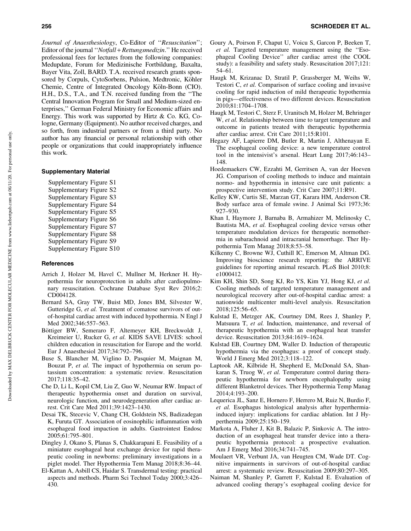*Journal of Anaesthesiology*, Co-Editor of ''*Resuscitation*''; Editor of the journal ''*Notfall* + *Rettungsmedizin*.'' He received professional fees for lectures from the following companies: Medupdate, Forum for Medizinische Fortbildung, Baxalta, Bayer Vita, Zoll, BARD. T.A. received research grants sponsored by Corpuls, CytoSorbens, Pulsion, Medtronic, Köhler Chemie, Centre of Integrated Oncology Köln-Bonn (CIO). H.H., D.S., T.A., and T.N. received funding from the ''The Central Innovation Program for Small and Medium-sized enterprises,'' German Federal Ministry for Economic affairs and Energy. This work was supported by Hirtz & Co. KG, Cologne, Germany (Equipment). No author received charges, and so forth, from industrial partners or from a third party. No author has any financial or personal relationship with other people or organizations that could inappropriately influence this work.

# Supplementary Material

Supplementary Figure S1 Supplementary Figure S2 Supplementary Figure S3 Supplementary Figure S4 Supplementary Figure S5 Supplementary Figure S6 Supplementary Figure S7 Supplementary Figure S8 Supplementary Figure S9 Supplementary Figure S10

## **References**

- Arrich J, Holzer M, Havel C, Mullner M, Herkner H. Hypothermia for neuroprotection in adults after cardiopulmonary resuscitation. Cochrane Database Syst Rev 2016;2: CD004128.
- Bernard SA, Gray TW, Buist MD, Jones BM, Silvester W, Gutteridge G, et al. Treatment of comatose survivors of outof-hospital cardiac arrest with induced hypothermia. N Engl J Med 2002;346:557–563.
- Böttiger BW, Semeraro F, Altemeyer KH, Breckwoldt J, Kreimeier U, Rucker G, *et al.* KIDS SAVE LIVES: school children education in resuscitation for Europe and the world. Eur J Anaesthesiol 2017;34:792–796.
- Buse S, Blancher M, Viglino D, Pasquier M, Maignan M, Bouzat P, *et al.* The impact of hypothermia on serum potassium concentration: a systematic review. Resuscitation 2017;118:35–42.
- Che D, Li L, Kopil CM, Liu Z, Guo W, Neumar RW. Impact of therapeutic hypothermia onset and duration on survival, neurologic function, and neurodegeneration after cardiac arrest. Crit Care Med 2011;39:1423–1430.
- Desai TK, Stecevic V, Chang CH, Goldstein NS, Badizadegan K, Furuta GT. Association of eosinophilic inflammation with esophageal food impaction in adults. Gastrointest Endosc 2005;61:795–801.
- Dingley J, Okano S, Planas S, Chakkarapani E. Feasibility of a miniature esophageal heat exchange device for rapid therapeutic cooling in newborns: preliminary investigations in a piglet model. Ther Hypothermia Tem Manag 2018;8:36–44.
- El-Kattan A, Asbill CS, Haidar S. Transdermal testing: practical aspects and methods. Pharm Sci Technol Today 2000;3:426– 430.
- Goury A, Poirson F, Chaput U, Voicu S, Garcon P, Beeken T, *et al.* Targeted temperature management using the ''Esophageal Cooling Device'' after cardiac arrest (the COOL study): a feasibility and safety study. Resuscitation 2017;121: 54–61.
- Haugk M, Krizanac D, Stratil P, Grassberger M, Weihs W, Testori C, *et al.* Comparison of surface cooling and invasive cooling for rapid induction of mild therapeutic hypothermia in pigs—effectiveness of two different devices. Resuscitation 2010;81:1704–1708.
- Haugk M, Testori C, Sterz F, Uranitsch M, Holzer M, Behringer W, *et al.* Relationship between time to target temperature and outcome in patients treated with therapeutic hypothermia after cardiac arrest. Crit Care 2011;15:R101.
- Hegazy AF, Lapierre DM, Butler R, Martin J, Althenayan E. The esophageal cooling device: a new temperature control tool in the intensivist's arsenal. Heart Lung 2017;46:143– 148.
- Hoedemaekers CW, Ezzahti M, Gerritsen A, van der Hoeven JG. Comparison of cooling methods to induce and maintain normo- and hypothermia in intensive care unit patients: a prospective intervention study. Crit Care 2007;11:R91.
- Kelley KW, Curtis SE, Marzan GT, Karara HM, Anderson CR. Body surface area of female swine. J Animal Sci 1973;36: 927–930.
- Khan I, Haymore J, Barnaba B, Armahizer M, Melinosky C, Bautista MA, *et al.* Esophageal cooling device versus other temperature modulation devices for therapeutic normothermia in subarachnoid and intracranial hemorrhage. Ther Hypothermia Tem Manag 2018;8:53–58.
- Kilkenny C, Browne WJ, Cuthill IC, Emerson M, Altman DG. Improving bioscience research reporting: the ARRIVE guidelines for reporting animal research. PLoS Biol 2010;8: e1000412.
- Kim KH, Shin SD, Song KJ, Ro YS, Kim YJ, Hong KJ, *et al.* Cooling methods of targeted temperature management and neurological recovery after out-of-hospital cardiac arrest: a nationwide multicenter multi-level analysis. Resuscitation 2018;125:56–65.
- Kulstad E, Metzger AK, Courtney DM, Rees J, Shanley P, Matsuura T, *et al.* Induction, maintenance, and reversal of therapeutic hypothermia with an esophageal heat transfer device. Resuscitation 2013;84:1619–1624.
- Kulstad EB, Courtney DM, Waller D. Induction of therapeutic hypothermia via the esophagus: a proof of concept study. World J Emerg Med 2012;3:118–122.
- Laptook AR, Kilbride H, Shepherd E, McDonald SA, Shankaran S, Truog W, *et al.* Temperature control during therapeutic hypothermia for newborn encephalopathy using different Blanketrol devices. Ther Hypothermia Temp Manag 2014;4:193–200.
- Lequerica JL, Sanz E, Hornero F, Herrero M, Ruiz N, Burdio F, *et al.* Esophagus histological analysis after hyperthermiainduced injury: implications for cardiac ablation. Int J Hyperthermia 2009;25:150–159.
- Markota A, Fluher J, Kit B, Balazic P, Sinkovic A. The introduction of an esophageal heat transfer device into a therapeutic hypothermia protocol: a prospective evaluation. Am J Emerg Med 2016;34:741–745.
- Moulaert VR, Verbunt JA, van Heugten CM, Wade DT. Cognitive impairments in survivors of out-of-hospital cardiac arrest: a systematic review. Resuscitation 2009;80:297–305.
- Naiman M, Shanley P, Garrett F, Kulstad E. Evaluation of advanced cooling therapy's esophageal cooling device for